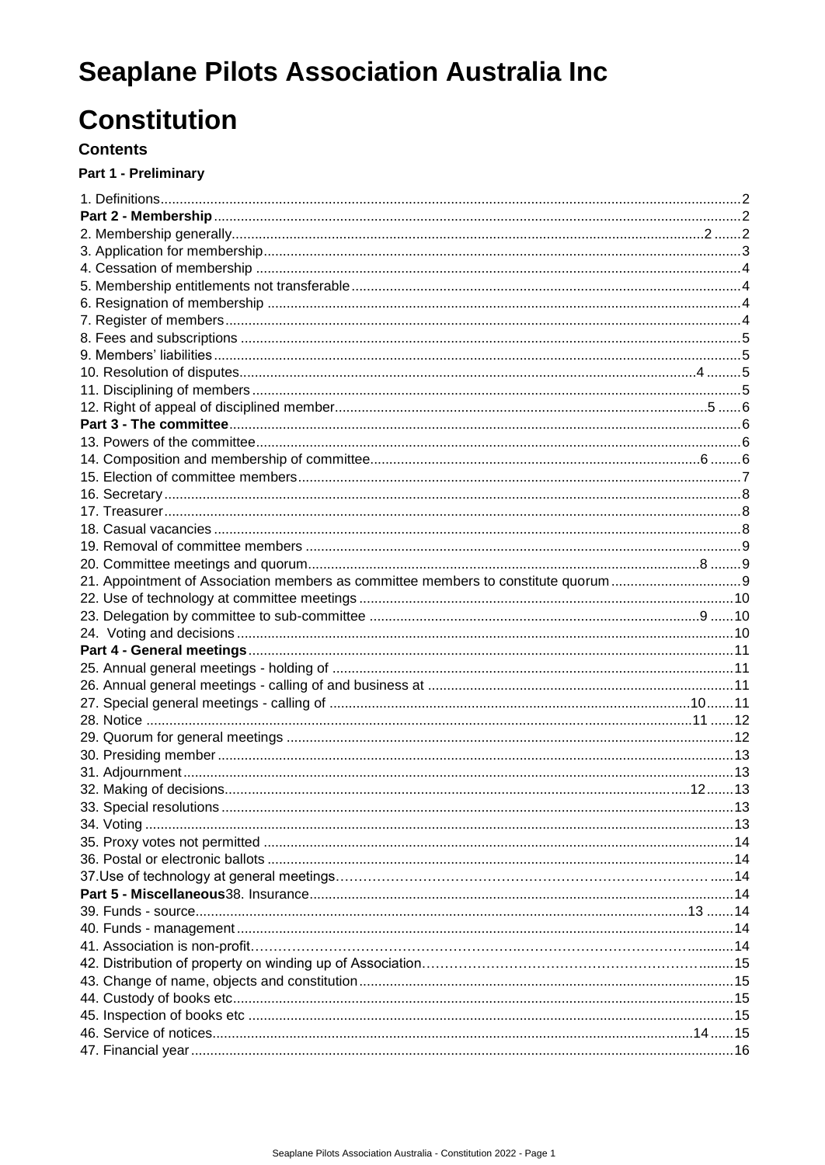# **Seaplane Pilots Association Australia Inc**

# **Constitution**

#### **Contents**

#### Part 1 - Preliminary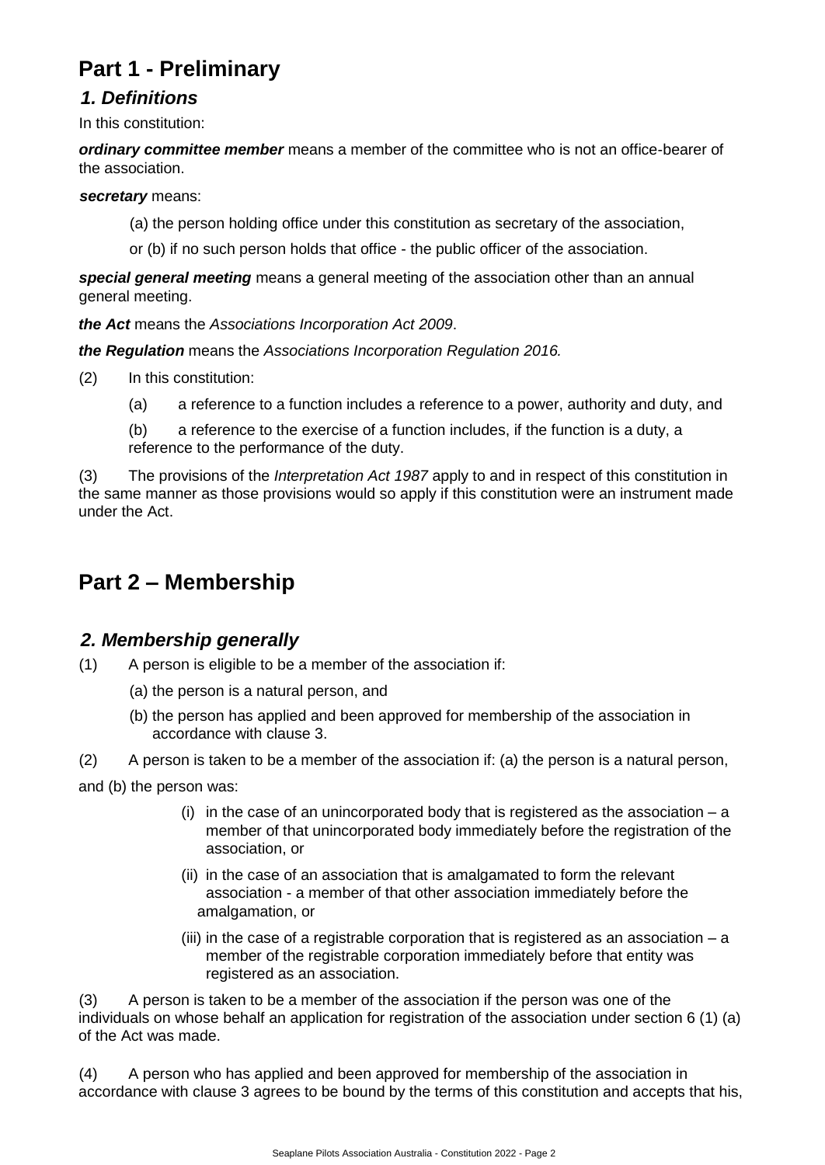# **Part 1 - Preliminary**

# <span id="page-1-0"></span>*1. Definitions*

In this constitution:

*ordinary committee member* means a member of the committee who is not an office-bearer of the association.

#### *secretary* means:

(a) the person holding office under this constitution as secretary of the association,

or (b) if no such person holds that office - the public officer of the association.

*special general meeting* means a general meeting of the association other than an annual general meeting.

*the Act* means the *Associations Incorporation Act 2009*.

*the Regulation* means the *Associations Incorporation Regulation 2016.*

- (2) In this constitution:
	- (a) a reference to a function includes a reference to a power, authority and duty, and

(b) a reference to the exercise of a function includes, if the function is a duty, a reference to the performance of the duty.

(3) The provisions of the *Interpretation Act 1987* apply to and in respect of this constitution in the same manner as those provisions would so apply if this constitution were an instrument made under the Act.

# <span id="page-1-1"></span>**Part 2 – Membership**

# <span id="page-1-2"></span>*2. Membership generally*

- (1) A person is eligible to be a member of the association if:
	- (a) the person is a natural person, and
	- (b) the person has applied and been approved for membership of the association in accordance with clause 3.

(2) A person is taken to be a member of the association if: (a) the person is a natural person, and (b) the person was:

- (i) in the case of an unincorporated body that is registered as the association  $a$ member of that unincorporated body immediately before the registration of the association, or
- (ii) in the case of an association that is amalgamated to form the relevant association - a member of that other association immediately before the amalgamation, or
- (iii) in the case of a registrable corporation that is registered as an association  $a$ member of the registrable corporation immediately before that entity was registered as an association.

(3) A person is taken to be a member of the association if the person was one of the individuals on whose behalf an application for registration of the association under section 6 (1) (a) of the Act was made.

(4) A person who has applied and been approved for membership of the association in accordance with clause 3 agrees to be bound by the terms of this constitution and accepts that his,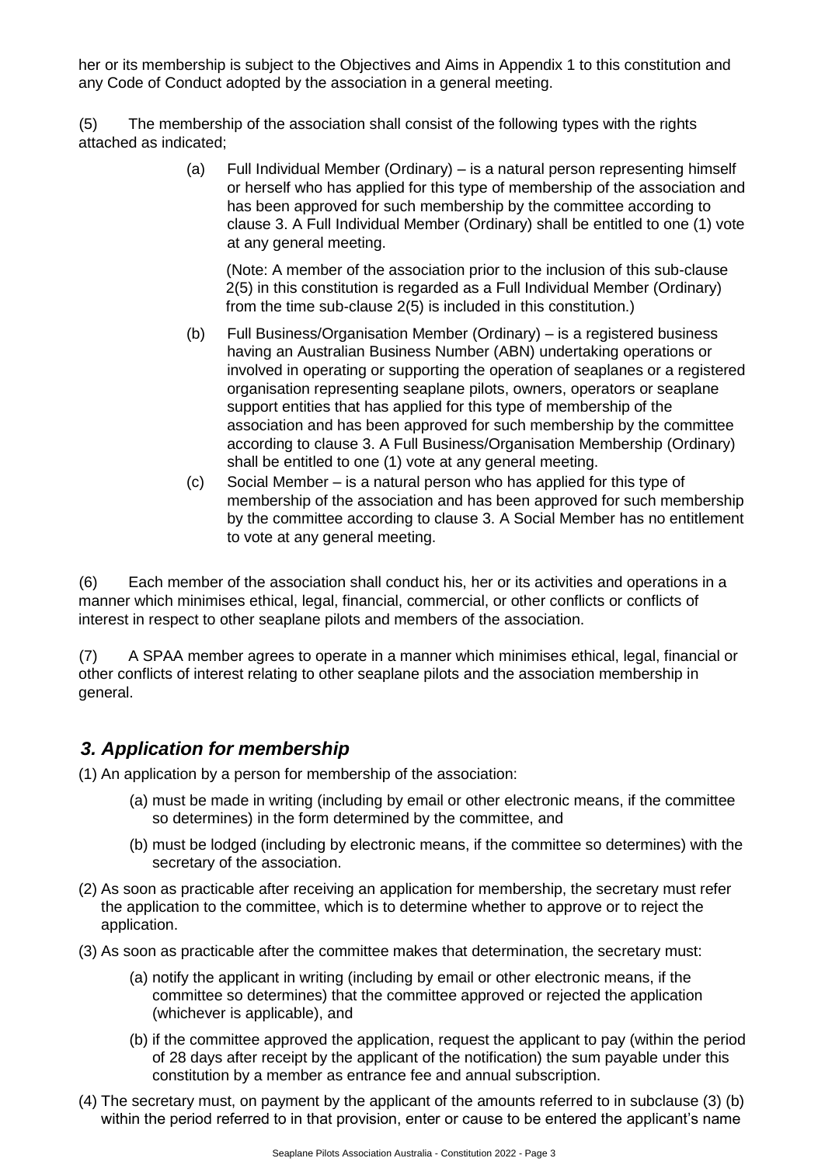her or its membership is subject to the Objectives and Aims in Appendix 1 to this constitution and any Code of Conduct adopted by the association in a general meeting.

(5) The membership of the association shall consist of the following types with the rights attached as indicated;

> (a) Full Individual Member (Ordinary) – is a natural person representing himself or herself who has applied for this type of membership of the association and has been approved for such membership by the committee according to clause 3. A Full Individual Member (Ordinary) shall be entitled to one (1) vote at any general meeting.

(Note: A member of the association prior to the inclusion of this sub-clause 2(5) in this constitution is regarded as a Full Individual Member (Ordinary) from the time sub-clause 2(5) is included in this constitution.)

- (b) Full Business/Organisation Member (Ordinary) is a registered business having an Australian Business Number (ABN) undertaking operations or involved in operating or supporting the operation of seaplanes or a registered organisation representing seaplane pilots, owners, operators or seaplane support entities that has applied for this type of membership of the association and has been approved for such membership by the committee according to clause 3. A Full Business/Organisation Membership (Ordinary) shall be entitled to one (1) vote at any general meeting.
- (c) Social Member is a natural person who has applied for this type of membership of the association and has been approved for such membership by the committee according to clause 3. A Social Member has no entitlement to vote at any general meeting.

(6) Each member of the association shall conduct his, her or its activities and operations in a manner which minimises ethical, legal, financial, commercial, or other conflicts or conflicts of interest in respect to other seaplane pilots and members of the association.

(7) A SPAA member agrees to operate in a manner which minimises ethical, legal, financial or other conflicts of interest relating to other seaplane pilots and the association membership in general.

# <span id="page-2-0"></span>*3. Application for membership*

(1) An application by a person for membership of the association:

- (a) must be made in writing (including by email or other electronic means, if the committee so determines) in the form determined by the committee, and
- (b) must be lodged (including by electronic means, if the committee so determines) with the secretary of the association.
- (2) As soon as practicable after receiving an application for membership, the secretary must refer the application to the committee, which is to determine whether to approve or to reject the application.
- (3) As soon as practicable after the committee makes that determination, the secretary must:
	- (a) notify the applicant in writing (including by email or other electronic means, if the committee so determines) that the committee approved or rejected the application (whichever is applicable), and
	- (b) if the committee approved the application, request the applicant to pay (within the period of 28 days after receipt by the applicant of the notification) the sum payable under this constitution by a member as entrance fee and annual subscription.
- (4) The secretary must, on payment by the applicant of the amounts referred to in subclause (3) (b) within the period referred to in that provision, enter or cause to be entered the applicant's name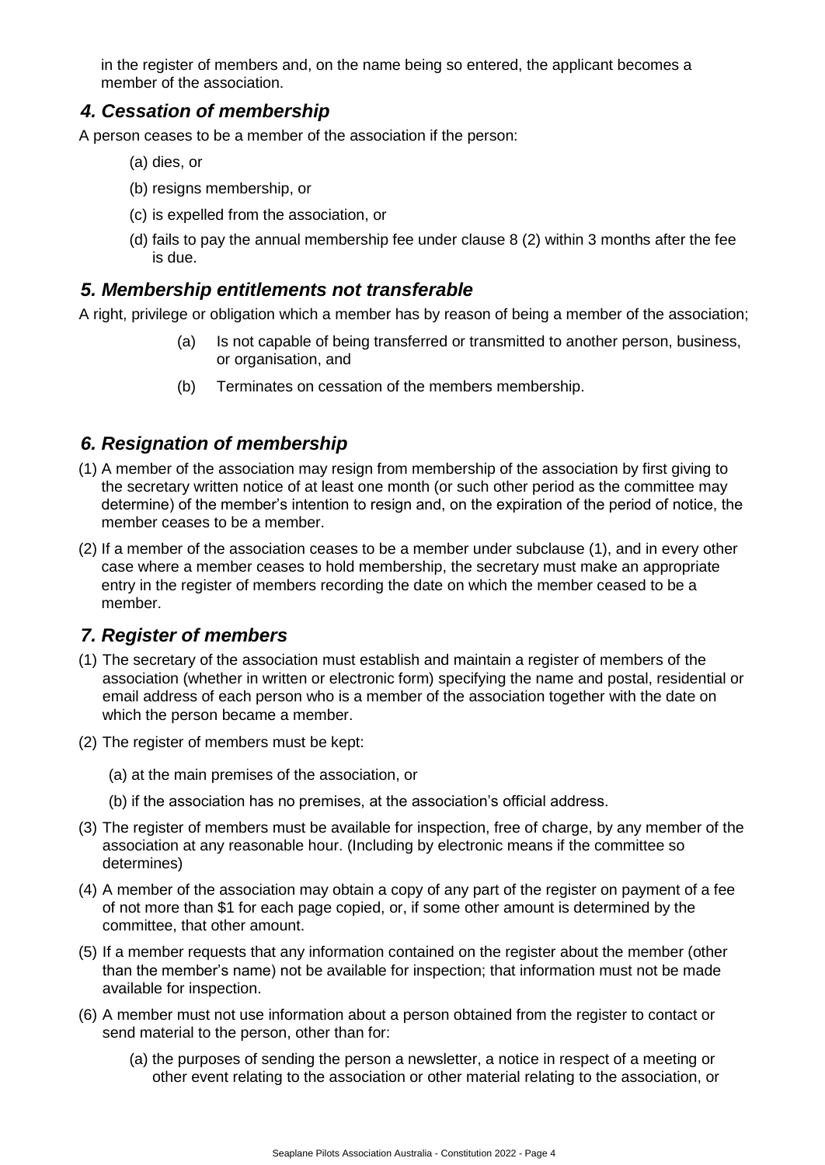in the register of members and, on the name being so entered, the applicant becomes a member of the association.

### <span id="page-3-0"></span>*4. Cessation of membership*

A person ceases to be a member of the association if the person:

- (a) dies, or
- (b) resigns membership, or
- (c) is expelled from the association, or
- (d) fails to pay the annual membership fee under clause 8 (2) within 3 months after the fee is due.

### <span id="page-3-1"></span>*5. Membership entitlements not transferable*

A right, privilege or obligation which a member has by reason of being a member of the association;

- (a) Is not capable of being transferred or transmitted to another person, business, or organisation, and
- (b) Terminates on cessation of the members membership.

### <span id="page-3-2"></span>*6. Resignation of membership*

- (1) A member of the association may resign from membership of the association by first giving to the secretary written notice of at least one month (or such other period as the committee may determine) of the member's intention to resign and, on the expiration of the period of notice, the member ceases to be a member.
- (2) If a member of the association ceases to be a member under subclause (1), and in every other case where a member ceases to hold membership, the secretary must make an appropriate entry in the register of members recording the date on which the member ceased to be a member.

### <span id="page-3-3"></span>*7. Register of members*

- (1) The secretary of the association must establish and maintain a register of members of the association (whether in written or electronic form) specifying the name and postal, residential or email address of each person who is a member of the association together with the date on which the person became a member.
- (2) The register of members must be kept:
	- (a) at the main premises of the association, or
	- (b) if the association has no premises, at the association's official address.
- (3) The register of members must be available for inspection, free of charge, by any member of the association at any reasonable hour. (Including by electronic means if the committee so determines)
- (4) A member of the association may obtain a copy of any part of the register on payment of a fee of not more than \$1 for each page copied, or, if some other amount is determined by the committee, that other amount.
- (5) If a member requests that any information contained on the register about the member (other than the member's name) not be available for inspection; that information must not be made available for inspection.
- (6) A member must not use information about a person obtained from the register to contact or send material to the person, other than for:
	- (a) the purposes of sending the person a newsletter, a notice in respect of a meeting or other event relating to the association or other material relating to the association, or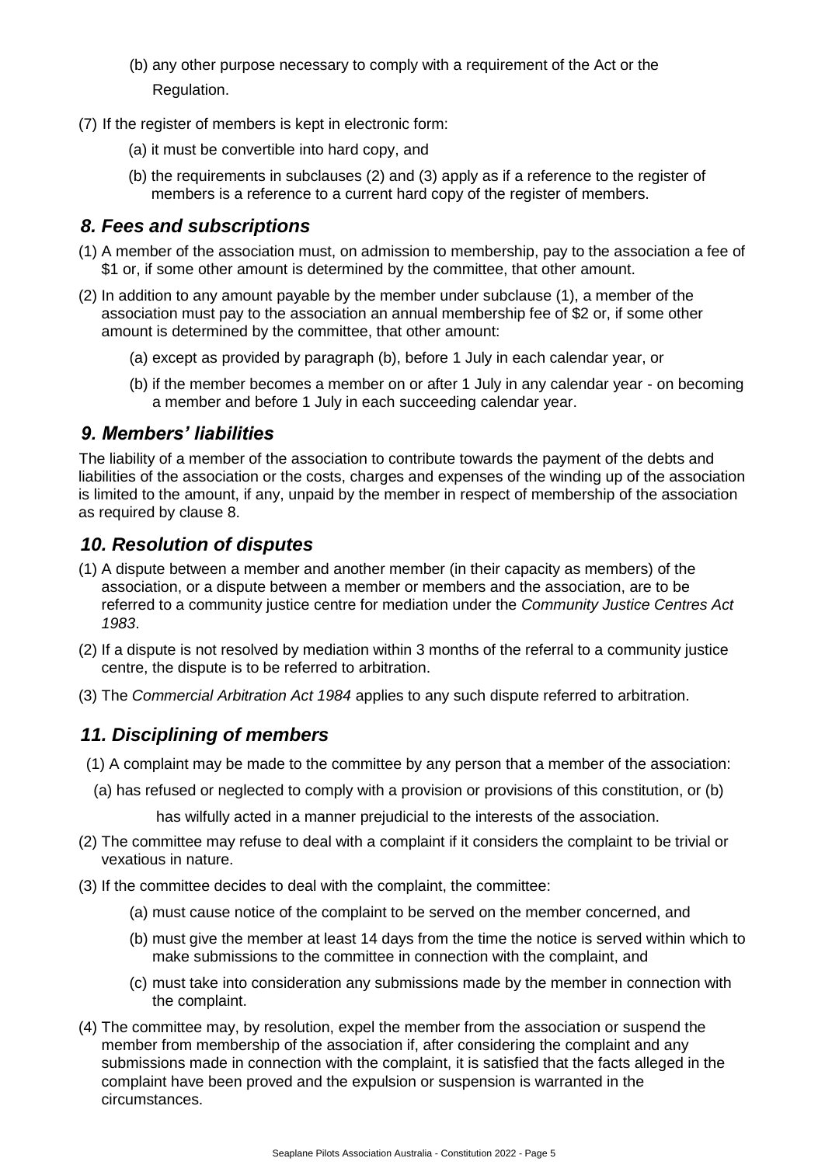- (b) any other purpose necessary to comply with a requirement of the Act or the Regulation.
- (7) If the register of members is kept in electronic form:
	- (a) it must be convertible into hard copy, and
	- (b) the requirements in subclauses (2) and (3) apply as if a reference to the register of members is a reference to a current hard copy of the register of members.

### <span id="page-4-0"></span>*8. Fees and subscriptions*

- (1) A member of the association must, on admission to membership, pay to the association a fee of \$1 or, if some other amount is determined by the committee, that other amount.
- (2) In addition to any amount payable by the member under subclause (1), a member of the association must pay to the association an annual membership fee of \$2 or, if some other amount is determined by the committee, that other amount:
	- (a) except as provided by paragraph (b), before 1 July in each calendar year, or
	- (b) if the member becomes a member on or after 1 July in any calendar year on becoming a member and before 1 July in each succeeding calendar year.

### <span id="page-4-1"></span>*9. Members' liabilities*

The liability of a member of the association to contribute towards the payment of the debts and liabilities of the association or the costs, charges and expenses of the winding up of the association is limited to the amount, if any, unpaid by the member in respect of membership of the association as required by clause 8.

### <span id="page-4-2"></span>*10. Resolution of disputes*

- (1) A dispute between a member and another member (in their capacity as members) of the association, or a dispute between a member or members and the association, are to be referred to a community justice centre for mediation under the *Community Justice Centres Act 1983*.
- (2) If a dispute is not resolved by mediation within 3 months of the referral to a community justice centre, the dispute is to be referred to arbitration.
- (3) The *Commercial Arbitration Act 1984* applies to any such dispute referred to arbitration.

# <span id="page-4-3"></span>*11. Disciplining of members*

- (1) A complaint may be made to the committee by any person that a member of the association:
	- (a) has refused or neglected to comply with a provision or provisions of this constitution, or (b)

has wilfully acted in a manner prejudicial to the interests of the association.

- (2) The committee may refuse to deal with a complaint if it considers the complaint to be trivial or vexatious in nature.
- (3) If the committee decides to deal with the complaint, the committee:
	- (a) must cause notice of the complaint to be served on the member concerned, and
	- (b) must give the member at least 14 days from the time the notice is served within which to make submissions to the committee in connection with the complaint, and
	- (c) must take into consideration any submissions made by the member in connection with the complaint.
- (4) The committee may, by resolution, expel the member from the association or suspend the member from membership of the association if, after considering the complaint and any submissions made in connection with the complaint, it is satisfied that the facts alleged in the complaint have been proved and the expulsion or suspension is warranted in the circumstances.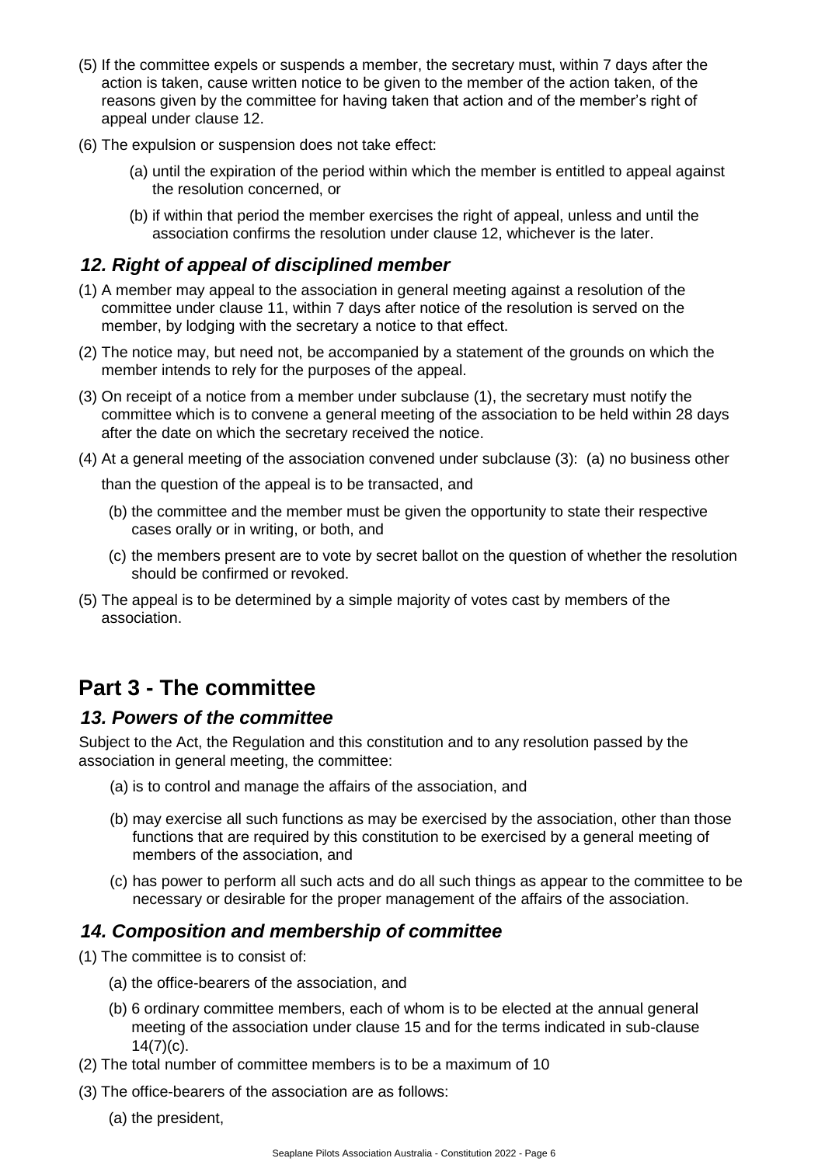- (5) If the committee expels or suspends a member, the secretary must, within 7 days after the action is taken, cause written notice to be given to the member of the action taken, of the reasons given by the committee for having taken that action and of the member's right of appeal under clause 12.
- (6) The expulsion or suspension does not take effect:
	- (a) until the expiration of the period within which the member is entitled to appeal against the resolution concerned, or
	- (b) if within that period the member exercises the right of appeal, unless and until the association confirms the resolution under clause 12, whichever is the later.

### <span id="page-5-0"></span>*12. Right of appeal of disciplined member*

- (1) A member may appeal to the association in general meeting against a resolution of the committee under clause 11, within 7 days after notice of the resolution is served on the member, by lodging with the secretary a notice to that effect.
- (2) The notice may, but need not, be accompanied by a statement of the grounds on which the member intends to rely for the purposes of the appeal.
- (3) On receipt of a notice from a member under subclause (1), the secretary must notify the committee which is to convene a general meeting of the association to be held within 28 days after the date on which the secretary received the notice.
- (4) At a general meeting of the association convened under subclause (3): (a) no business other

than the question of the appeal is to be transacted, and

- (b) the committee and the member must be given the opportunity to state their respective cases orally or in writing, or both, and
- (c) the members present are to vote by secret ballot on the question of whether the resolution should be confirmed or revoked.
- (5) The appeal is to be determined by a simple majority of votes cast by members of the association.

# <span id="page-5-1"></span>**Part 3 - The committee**

### <span id="page-5-2"></span>*13. Powers of the committee*

Subject to the Act, the Regulation and this constitution and to any resolution passed by the association in general meeting, the committee:

- (a) is to control and manage the affairs of the association, and
- (b) may exercise all such functions as may be exercised by the association, other than those functions that are required by this constitution to be exercised by a general meeting of members of the association, and
- (c) has power to perform all such acts and do all such things as appear to the committee to be necessary or desirable for the proper management of the affairs of the association.

### <span id="page-5-3"></span>*14. Composition and membership of committee*

(1) The committee is to consist of:

- (a) the office-bearers of the association, and
- (b) 6 ordinary committee members, each of whom is to be elected at the annual general meeting of the association under clause 15 and for the terms indicated in sub-clause  $14(7)(c)$ .
- (2) The total number of committee members is to be a maximum of 10
- (3) The office-bearers of the association are as follows:
	- (a) the president,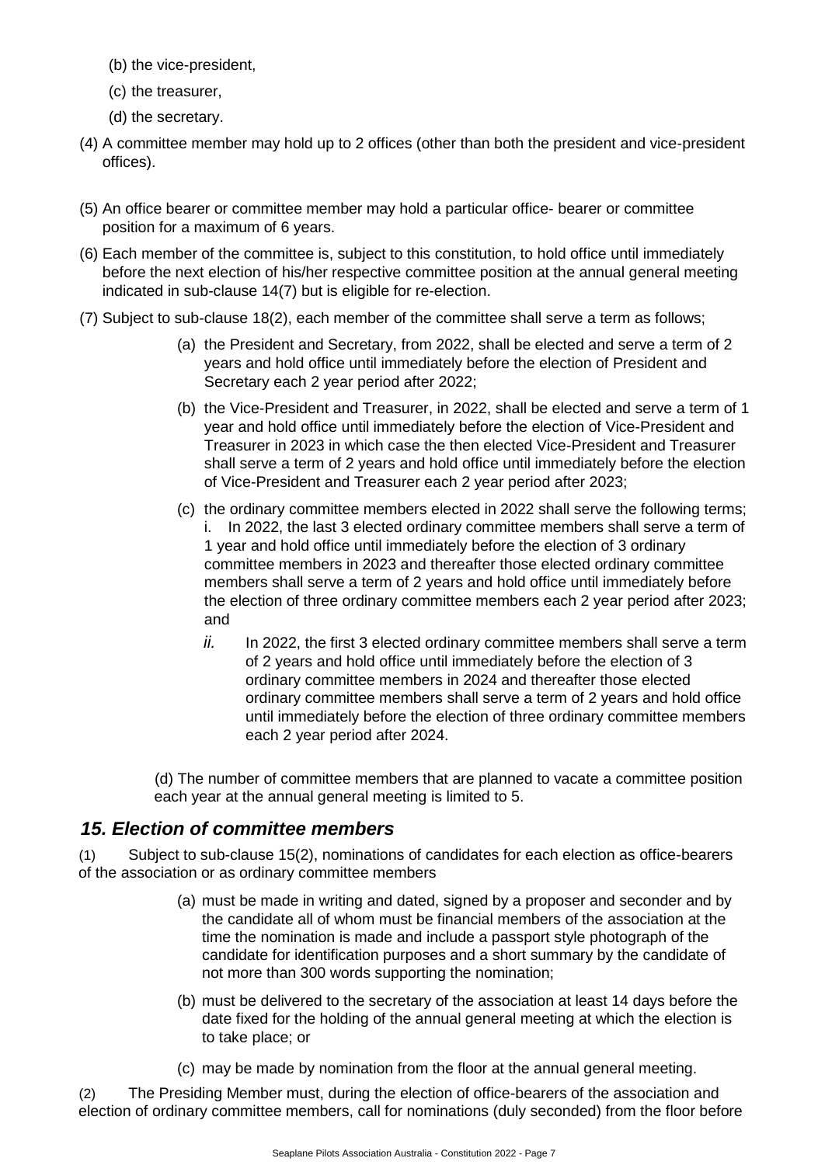- (b) the vice-president,
- (c) the treasurer,
- (d) the secretary.
- (4) A committee member may hold up to 2 offices (other than both the president and vice-president offices).
- (5) An office bearer or committee member may hold a particular office- bearer or committee position for a maximum of 6 years.
- (6) Each member of the committee is, subject to this constitution, to hold office until immediately before the next election of his/her respective committee position at the annual general meeting indicated in sub-clause 14(7) but is eligible for re-election.
- (7) Subject to sub-clause 18(2), each member of the committee shall serve a term as follows;
	- (a) the President and Secretary, from 2022, shall be elected and serve a term of 2 years and hold office until immediately before the election of President and Secretary each 2 year period after 2022;
	- (b) the Vice-President and Treasurer, in 2022, shall be elected and serve a term of 1 year and hold office until immediately before the election of Vice-President and Treasurer in 2023 in which case the then elected Vice-President and Treasurer shall serve a term of 2 years and hold office until immediately before the election of Vice-President and Treasurer each 2 year period after 2023;
	- (c) the ordinary committee members elected in 2022 shall serve the following terms; i. In 2022, the last 3 elected ordinary committee members shall serve a term of 1 year and hold office until immediately before the election of 3 ordinary committee members in 2023 and thereafter those elected ordinary committee members shall serve a term of 2 years and hold office until immediately before the election of three ordinary committee members each 2 year period after 2023; and
		- *ii.* In 2022, the first 3 elected ordinary committee members shall serve a term of 2 years and hold office until immediately before the election of 3 ordinary committee members in 2024 and thereafter those elected ordinary committee members shall serve a term of 2 years and hold office until immediately before the election of three ordinary committee members each 2 year period after 2024.

(d) The number of committee members that are planned to vacate a committee position each year at the annual general meeting is limited to 5.

# <span id="page-6-0"></span>*15. Election of committee members*

(1) Subject to sub-clause 15(2), nominations of candidates for each election as office-bearers of the association or as ordinary committee members

- (a) must be made in writing and dated, signed by a proposer and seconder and by the candidate all of whom must be financial members of the association at the time the nomination is made and include a passport style photograph of the candidate for identification purposes and a short summary by the candidate of not more than 300 words supporting the nomination;
- (b) must be delivered to the secretary of the association at least 14 days before the date fixed for the holding of the annual general meeting at which the election is to take place; or
- (c) may be made by nomination from the floor at the annual general meeting.

(2) The Presiding Member must, during the election of office-bearers of the association and election of ordinary committee members, call for nominations (duly seconded) from the floor before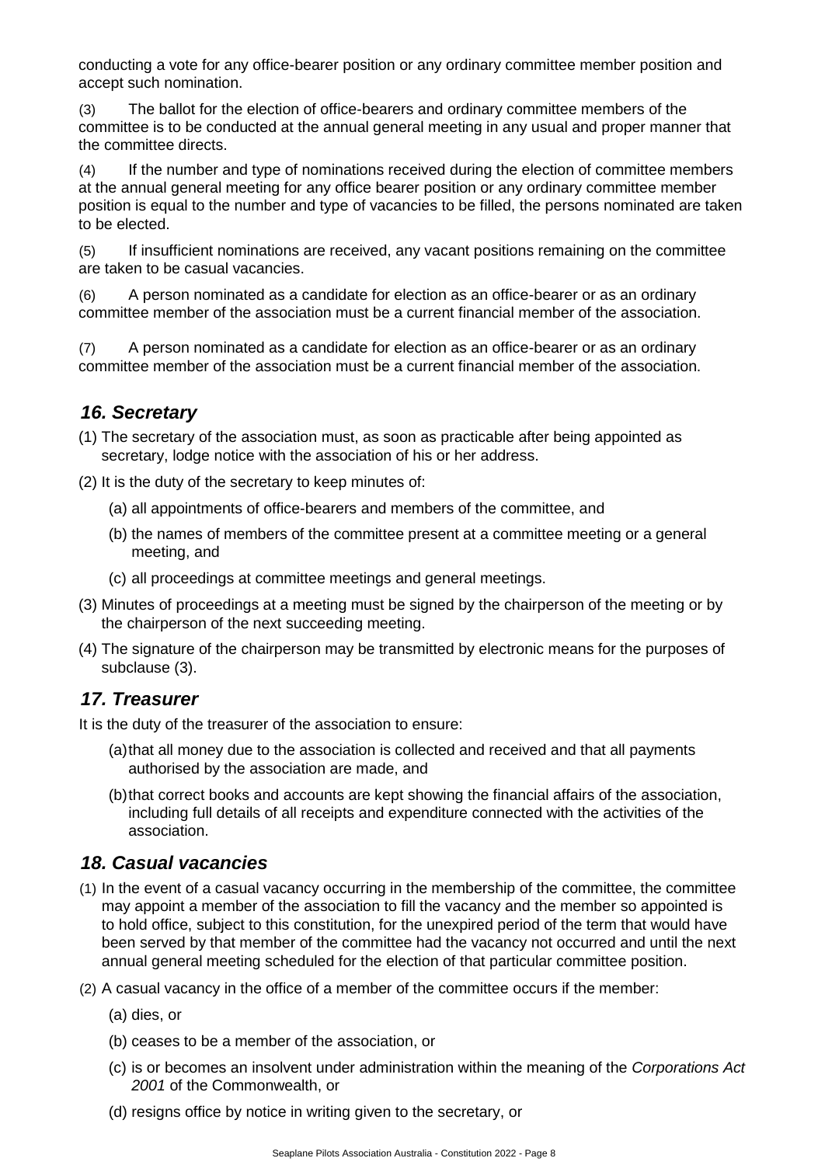conducting a vote for any office-bearer position or any ordinary committee member position and accept such nomination.

(3) The ballot for the election of office-bearers and ordinary committee members of the committee is to be conducted at the annual general meeting in any usual and proper manner that the committee directs.

(4) If the number and type of nominations received during the election of committee members at the annual general meeting for any office bearer position or any ordinary committee member position is equal to the number and type of vacancies to be filled, the persons nominated are taken to be elected.

(5) If insufficient nominations are received, any vacant positions remaining on the committee are taken to be casual vacancies.

(6) A person nominated as a candidate for election as an office-bearer or as an ordinary committee member of the association must be a current financial member of the association.

(7) A person nominated as a candidate for election as an office-bearer or as an ordinary committee member of the association must be a current financial member of the association.

### <span id="page-7-0"></span>*16. Secretary*

(1) The secretary of the association must, as soon as practicable after being appointed as secretary, lodge notice with the association of his or her address.

- (2) It is the duty of the secretary to keep minutes of:
	- (a) all appointments of office-bearers and members of the committee, and
	- (b) the names of members of the committee present at a committee meeting or a general meeting, and
	- (c) all proceedings at committee meetings and general meetings.
- (3) Minutes of proceedings at a meeting must be signed by the chairperson of the meeting or by the chairperson of the next succeeding meeting.
- (4) The signature of the chairperson may be transmitted by electronic means for the purposes of subclause (3).

### <span id="page-7-1"></span>*17. Treasurer*

It is the duty of the treasurer of the association to ensure:

- (a)that all money due to the association is collected and received and that all payments authorised by the association are made, and
- (b)that correct books and accounts are kept showing the financial affairs of the association, including full details of all receipts and expenditure connected with the activities of the association.

### <span id="page-7-2"></span>*18. Casual vacancies*

- (1) In the event of a casual vacancy occurring in the membership of the committee, the committee may appoint a member of the association to fill the vacancy and the member so appointed is to hold office, subject to this constitution, for the unexpired period of the term that would have been served by that member of the committee had the vacancy not occurred and until the next annual general meeting scheduled for the election of that particular committee position.
- (2) A casual vacancy in the office of a member of the committee occurs if the member:
	- (a) dies, or
	- (b) ceases to be a member of the association, or
	- (c) is or becomes an insolvent under administration within the meaning of the *Corporations Act 2001* of the Commonwealth, or
	- (d) resigns office by notice in writing given to the secretary, or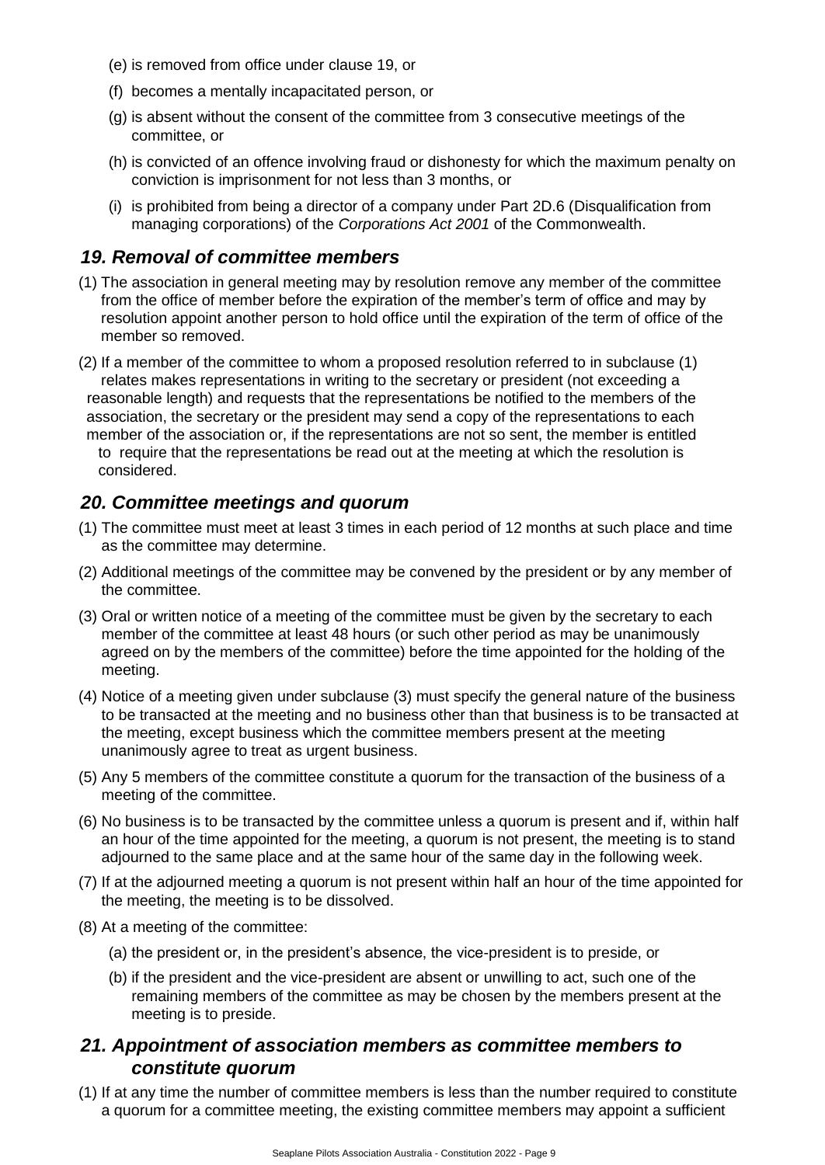- (e) is removed from office under clause 19, or
- (f) becomes a mentally incapacitated person, or
- (g) is absent without the consent of the committee from 3 consecutive meetings of the committee, or
- (h) is convicted of an offence involving fraud or dishonesty for which the maximum penalty on conviction is imprisonment for not less than 3 months, or
- (i) is prohibited from being a director of a company under Part 2D.6 (Disqualification from managing corporations) of the *Corporations Act 2001* of the Commonwealth.

### <span id="page-8-0"></span>*19. Removal of committee members*

- (1) The association in general meeting may by resolution remove any member of the committee from the office of member before the expiration of the member's term of office and may by resolution appoint another person to hold office until the expiration of the term of office of the member so removed.
- (2) If a member of the committee to whom a proposed resolution referred to in subclause (1) relates makes representations in writing to the secretary or president (not exceeding a reasonable length) and requests that the representations be notified to the members of the association, the secretary or the president may send a copy of the representations to each member of the association or, if the representations are not so sent, the member is entitled to require that the representations be read out at the meeting at which the resolution is considered.

# <span id="page-8-1"></span>*20. Committee meetings and quorum*

- (1) The committee must meet at least 3 times in each period of 12 months at such place and time as the committee may determine.
- (2) Additional meetings of the committee may be convened by the president or by any member of the committee.
- (3) Oral or written notice of a meeting of the committee must be given by the secretary to each member of the committee at least 48 hours (or such other period as may be unanimously agreed on by the members of the committee) before the time appointed for the holding of the meeting.
- (4) Notice of a meeting given under subclause (3) must specify the general nature of the business to be transacted at the meeting and no business other than that business is to be transacted at the meeting, except business which the committee members present at the meeting unanimously agree to treat as urgent business.
- (5) Any 5 members of the committee constitute a quorum for the transaction of the business of a meeting of the committee.
- (6) No business is to be transacted by the committee unless a quorum is present and if, within half an hour of the time appointed for the meeting, a quorum is not present, the meeting is to stand adjourned to the same place and at the same hour of the same day in the following week.
- (7) If at the adjourned meeting a quorum is not present within half an hour of the time appointed for the meeting, the meeting is to be dissolved.
- (8) At a meeting of the committee:
	- (a) the president or, in the president's absence, the vice-president is to preside, or
	- (b) if the president and the vice-president are absent or unwilling to act, such one of the remaining members of the committee as may be chosen by the members present at the meeting is to preside.

### <span id="page-8-2"></span>*21. Appointment of association members as committee members to constitute quorum*

(1) If at any time the number of committee members is less than the number required to constitute a quorum for a committee meeting, the existing committee members may appoint a sufficient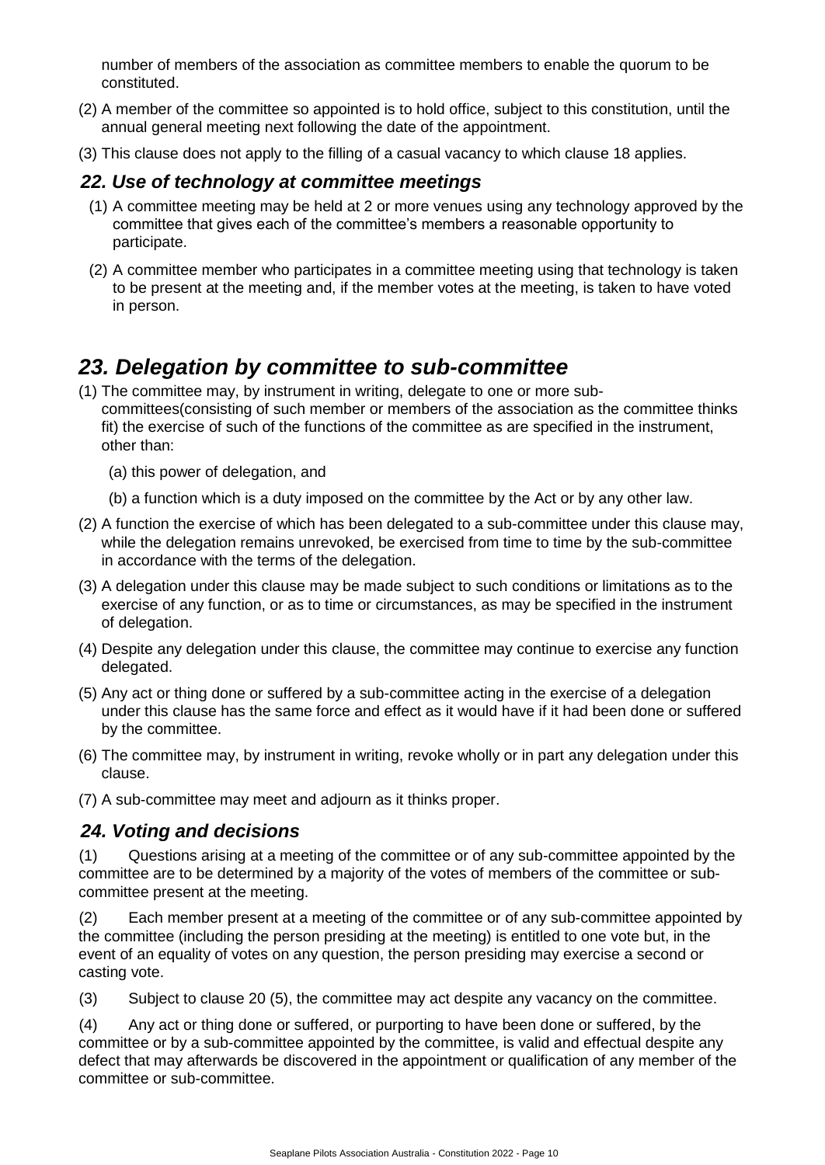number of members of the association as committee members to enable the quorum to be constituted.

- (2) A member of the committee so appointed is to hold office, subject to this constitution, until the annual general meeting next following the date of the appointment.
- (3) This clause does not apply to the filling of a casual vacancy to which clause 18 applies.

### <span id="page-9-0"></span>*22. Use of technology at committee meetings*

- (1) A committee meeting may be held at 2 or more venues using any technology approved by the committee that gives each of the committee's members a reasonable opportunity to participate.
- (2) A committee member who participates in a committee meeting using that technology is taken to be present at the meeting and, if the member votes at the meeting, is taken to have voted in person.

# <span id="page-9-1"></span>*23. Delegation by committee to sub-committee*

- (1) The committee may, by instrument in writing, delegate to one or more subcommittees(consisting of such member or members of the association as the committee thinks fit) the exercise of such of the functions of the committee as are specified in the instrument, other than:
	- (a) this power of delegation, and
	- (b) a function which is a duty imposed on the committee by the Act or by any other law.
- (2) A function the exercise of which has been delegated to a sub-committee under this clause may, while the delegation remains unrevoked, be exercised from time to time by the sub-committee in accordance with the terms of the delegation.
- (3) A delegation under this clause may be made subject to such conditions or limitations as to the exercise of any function, or as to time or circumstances, as may be specified in the instrument of delegation.
- (4) Despite any delegation under this clause, the committee may continue to exercise any function delegated.
- (5) Any act or thing done or suffered by a sub-committee acting in the exercise of a delegation under this clause has the same force and effect as it would have if it had been done or suffered by the committee.
- (6) The committee may, by instrument in writing, revoke wholly or in part any delegation under this clause.
- (7) A sub-committee may meet and adjourn as it thinks proper.

### <span id="page-9-2"></span>*24. Voting and decisions*

(1) Questions arising at a meeting of the committee or of any sub-committee appointed by the committee are to be determined by a majority of the votes of members of the committee or subcommittee present at the meeting.

(2) Each member present at a meeting of the committee or of any sub-committee appointed by the committee (including the person presiding at the meeting) is entitled to one vote but, in the event of an equality of votes on any question, the person presiding may exercise a second or casting vote.

(3) Subject to clause 20 (5), the committee may act despite any vacancy on the committee.

(4) Any act or thing done or suffered, or purporting to have been done or suffered, by the committee or by a sub-committee appointed by the committee, is valid and effectual despite any defect that may afterwards be discovered in the appointment or qualification of any member of the committee or sub-committee.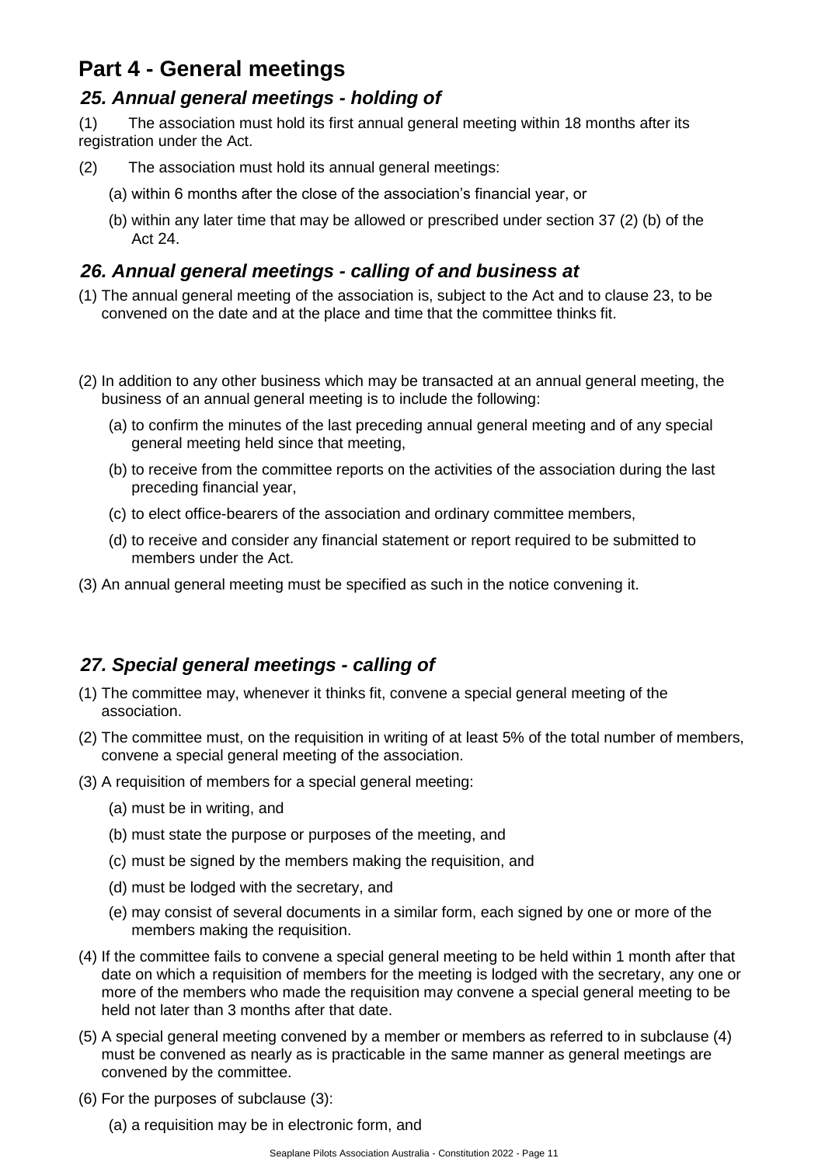# <span id="page-10-0"></span>**Part 4 - General meetings**

# <span id="page-10-1"></span>*25. Annual general meetings - holding of*

(1) The association must hold its first annual general meeting within 18 months after its registration under the Act.

- (2) The association must hold its annual general meetings:
	- (a) within 6 months after the close of the association's financial year, or
	- (b) within any later time that may be allowed or prescribed under section 37 (2) (b) of the Act 24.

# <span id="page-10-2"></span>*26. Annual general meetings - calling of and business at*

- (1) The annual general meeting of the association is, subject to the Act and to clause 23, to be convened on the date and at the place and time that the committee thinks fit.
- (2) In addition to any other business which may be transacted at an annual general meeting, the business of an annual general meeting is to include the following:
	- (a) to confirm the minutes of the last preceding annual general meeting and of any special general meeting held since that meeting,
	- (b) to receive from the committee reports on the activities of the association during the last preceding financial year,
	- (c) to elect office-bearers of the association and ordinary committee members,
	- (d) to receive and consider any financial statement or report required to be submitted to members under the Act.
- (3) An annual general meeting must be specified as such in the notice convening it.

# <span id="page-10-3"></span>*27. Special general meetings - calling of*

- (1) The committee may, whenever it thinks fit, convene a special general meeting of the association.
- (2) The committee must, on the requisition in writing of at least 5% of the total number of members, convene a special general meeting of the association.
- (3) A requisition of members for a special general meeting:
	- (a) must be in writing, and
	- (b) must state the purpose or purposes of the meeting, and
	- (c) must be signed by the members making the requisition, and
	- (d) must be lodged with the secretary, and
	- (e) may consist of several documents in a similar form, each signed by one or more of the members making the requisition.
- (4) If the committee fails to convene a special general meeting to be held within 1 month after that date on which a requisition of members for the meeting is lodged with the secretary, any one or more of the members who made the requisition may convene a special general meeting to be held not later than 3 months after that date.
- (5) A special general meeting convened by a member or members as referred to in subclause (4) must be convened as nearly as is practicable in the same manner as general meetings are convened by the committee.
- (6) For the purposes of subclause (3):
	- (a) a requisition may be in electronic form, and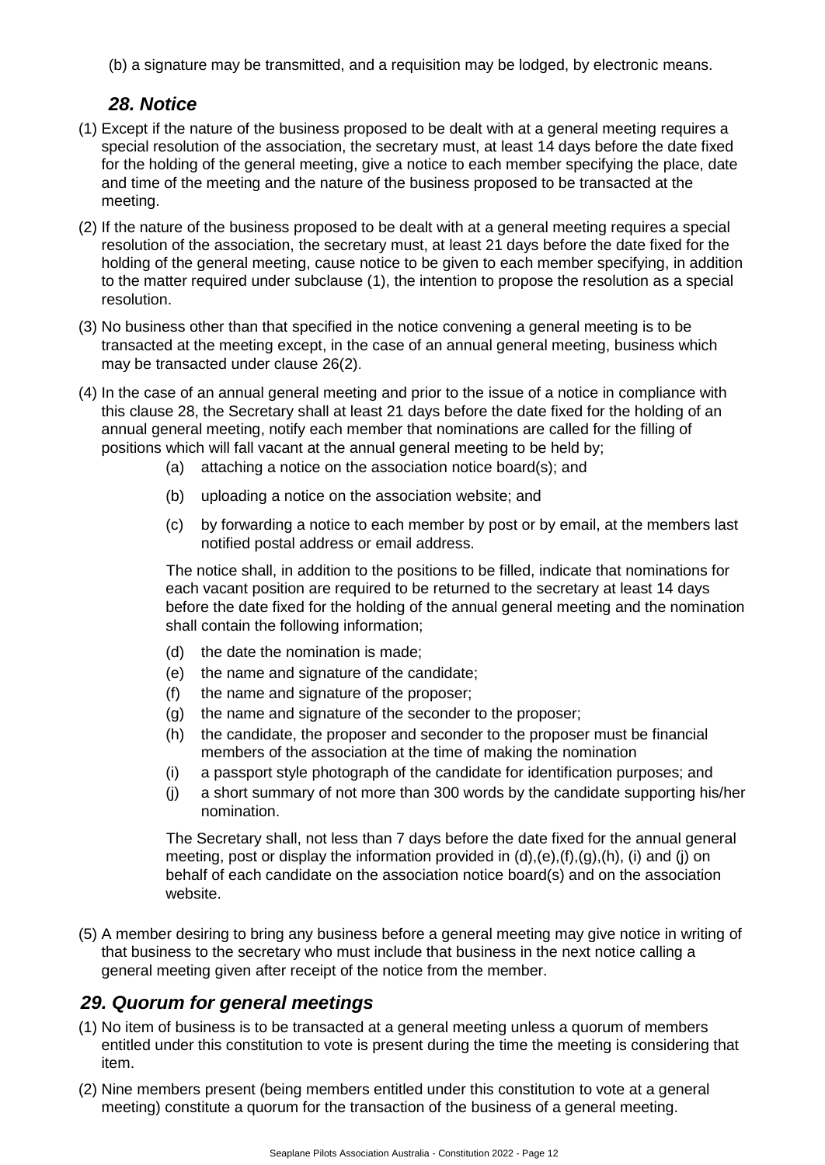(b) a signature may be transmitted, and a requisition may be lodged, by electronic means.

### *28. Notice*

- <span id="page-11-0"></span>(1) Except if the nature of the business proposed to be dealt with at a general meeting requires a special resolution of the association, the secretary must, at least 14 days before the date fixed for the holding of the general meeting, give a notice to each member specifying the place, date and time of the meeting and the nature of the business proposed to be transacted at the meeting.
- (2) If the nature of the business proposed to be dealt with at a general meeting requires a special resolution of the association, the secretary must, at least 21 days before the date fixed for the holding of the general meeting, cause notice to be given to each member specifying, in addition to the matter required under subclause (1), the intention to propose the resolution as a special resolution.
- (3) No business other than that specified in the notice convening a general meeting is to be transacted at the meeting except, in the case of an annual general meeting, business which may be transacted under clause 26(2).
- (4) In the case of an annual general meeting and prior to the issue of a notice in compliance with this clause 28, the Secretary shall at least 21 days before the date fixed for the holding of an annual general meeting, notify each member that nominations are called for the filling of positions which will fall vacant at the annual general meeting to be held by;
	- (a) attaching a notice on the association notice board(s); and
	- (b) uploading a notice on the association website; and
	- (c) by forwarding a notice to each member by post or by email, at the members last notified postal address or email address.

The notice shall, in addition to the positions to be filled, indicate that nominations for each vacant position are required to be returned to the secretary at least 14 days before the date fixed for the holding of the annual general meeting and the nomination shall contain the following information;

- (d) the date the nomination is made;
- (e) the name and signature of the candidate;
- (f) the name and signature of the proposer;
- (g) the name and signature of the seconder to the proposer;
- (h) the candidate, the proposer and seconder to the proposer must be financial members of the association at the time of making the nomination
- (i) a passport style photograph of the candidate for identification purposes; and
- (j) a short summary of not more than 300 words by the candidate supporting his/her nomination.

The Secretary shall, not less than 7 days before the date fixed for the annual general meeting, post or display the information provided in  $(d)$ , $(e)$ , $(f)$ , $(g)$ , $(h)$ ,  $(i)$  and  $(i)$  on behalf of each candidate on the association notice board(s) and on the association website.

(5) A member desiring to bring any business before a general meeting may give notice in writing of that business to the secretary who must include that business in the next notice calling a general meeting given after receipt of the notice from the member.

### <span id="page-11-1"></span>*29. Quorum for general meetings*

- (1) No item of business is to be transacted at a general meeting unless a quorum of members entitled under this constitution to vote is present during the time the meeting is considering that item.
- (2) Nine members present (being members entitled under this constitution to vote at a general meeting) constitute a quorum for the transaction of the business of a general meeting.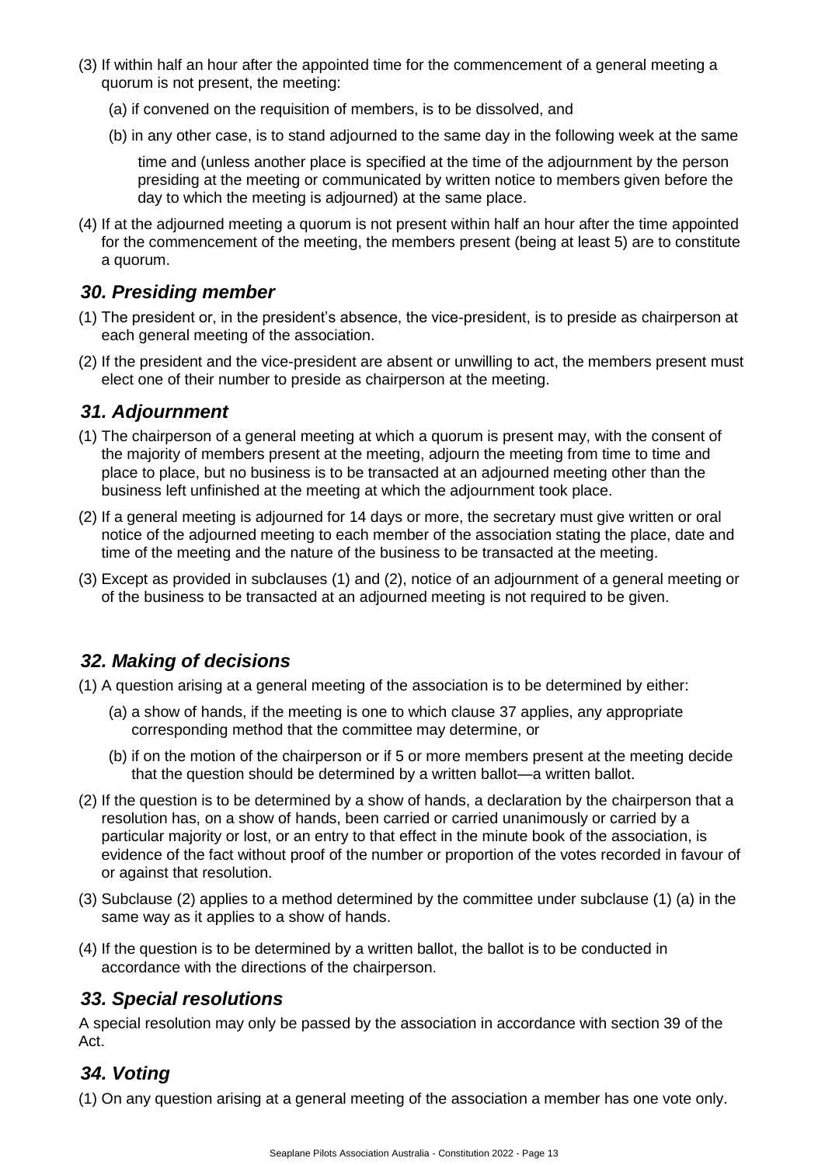- (3) If within half an hour after the appointed time for the commencement of a general meeting a quorum is not present, the meeting:
	- (a) if convened on the requisition of members, is to be dissolved, and
	- (b) in any other case, is to stand adjourned to the same day in the following week at the same

time and (unless another place is specified at the time of the adjournment by the person presiding at the meeting or communicated by written notice to members given before the day to which the meeting is adjourned) at the same place.

(4) If at the adjourned meeting a quorum is not present within half an hour after the time appointed for the commencement of the meeting, the members present (being at least 5) are to constitute a quorum.

### <span id="page-12-0"></span>*30. Presiding member*

- (1) The president or, in the president's absence, the vice-president, is to preside as chairperson at each general meeting of the association.
- (2) If the president and the vice-president are absent or unwilling to act, the members present must elect one of their number to preside as chairperson at the meeting.

### <span id="page-12-1"></span>*31. Adjournment*

- (1) The chairperson of a general meeting at which a quorum is present may, with the consent of the majority of members present at the meeting, adjourn the meeting from time to time and place to place, but no business is to be transacted at an adjourned meeting other than the business left unfinished at the meeting at which the adjournment took place.
- (2) If a general meeting is adjourned for 14 days or more, the secretary must give written or oral notice of the adjourned meeting to each member of the association stating the place, date and time of the meeting and the nature of the business to be transacted at the meeting.
- (3) Except as provided in subclauses (1) and (2), notice of an adjournment of a general meeting or of the business to be transacted at an adjourned meeting is not required to be given.

# <span id="page-12-2"></span>*32. Making of decisions*

- (1) A question arising at a general meeting of the association is to be determined by either:
	- (a) a show of hands, if the meeting is one to which clause 37 applies, any appropriate corresponding method that the committee may determine, or
	- (b) if on the motion of the chairperson or if 5 or more members present at the meeting decide that the question should be determined by a written ballot—a written ballot.
- (2) If the question is to be determined by a show of hands, a declaration by the chairperson that a resolution has, on a show of hands, been carried or carried unanimously or carried by a particular majority or lost, or an entry to that effect in the minute book of the association, is evidence of the fact without proof of the number or proportion of the votes recorded in favour of or against that resolution.
- (3) Subclause (2) applies to a method determined by the committee under subclause (1) (a) in the same way as it applies to a show of hands.
- (4) If the question is to be determined by a written ballot, the ballot is to be conducted in accordance with the directions of the chairperson.

# <span id="page-12-3"></span>*33. Special resolutions*

A special resolution may only be passed by the association in accordance with section 39 of the Act.

# <span id="page-12-4"></span>*34. Voting*

(1) On any question arising at a general meeting of the association a member has one vote only.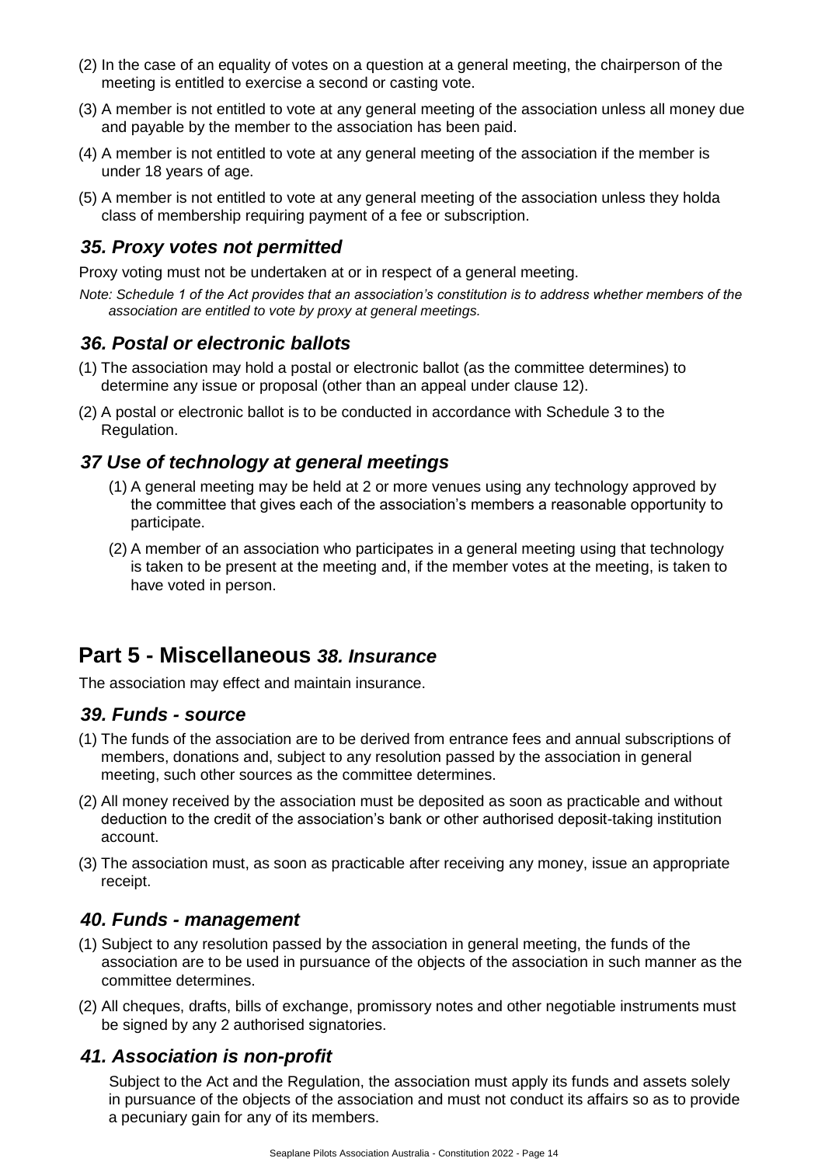- (2) In the case of an equality of votes on a question at a general meeting, the chairperson of the meeting is entitled to exercise a second or casting vote.
- (3) A member is not entitled to vote at any general meeting of the association unless all money due and payable by the member to the association has been paid.
- (4) A member is not entitled to vote at any general meeting of the association if the member is under 18 years of age.
- (5) A member is not entitled to vote at any general meeting of the association unless they holda class of membership requiring payment of a fee or subscription.

### <span id="page-13-0"></span>*35. Proxy votes not permitted*

Proxy voting must not be undertaken at or in respect of a general meeting.

*Note: Schedule 1 of the Act provides that an association's constitution is to address whether members of the association are entitled to vote by proxy at general meetings.*

### <span id="page-13-1"></span>*36. Postal or electronic ballots*

- (1) The association may hold a postal or electronic ballot (as the committee determines) to determine any issue or proposal (other than an appeal under clause 12).
- (2) A postal or electronic ballot is to be conducted in accordance with Schedule 3 to the Regulation.

#### <span id="page-13-2"></span>*37 Use of technology at general meetings*

- (1) A general meeting may be held at 2 or more venues using any technology approved by the committee that gives each of the association's members a reasonable opportunity to participate.
- (2) A member of an association who participates in a general meeting using that technology is taken to be present at the meeting and, if the member votes at the meeting, is taken to have voted in person.

### <span id="page-13-3"></span>**Part 5 - Miscellaneous** *38. Insurance*

The association may effect and maintain insurance.

#### <span id="page-13-4"></span>*39. Funds - source*

- (1) The funds of the association are to be derived from entrance fees and annual subscriptions of members, donations and, subject to any resolution passed by the association in general meeting, such other sources as the committee determines.
- (2) All money received by the association must be deposited as soon as practicable and without deduction to the credit of the association's bank or other authorised deposit-taking institution account.
- (3) The association must, as soon as practicable after receiving any money, issue an appropriate receipt.

#### <span id="page-13-5"></span>*40. Funds - management*

- (1) Subject to any resolution passed by the association in general meeting, the funds of the association are to be used in pursuance of the objects of the association in such manner as the committee determines.
- (2) All cheques, drafts, bills of exchange, promissory notes and other negotiable instruments must be signed by any 2 authorised signatories.

### <span id="page-13-6"></span>*41. Association is non-profit*

Subject to the Act and the Regulation, the association must apply its funds and assets solely in pursuance of the objects of the association and must not conduct its affairs so as to provide a pecuniary gain for any of its members.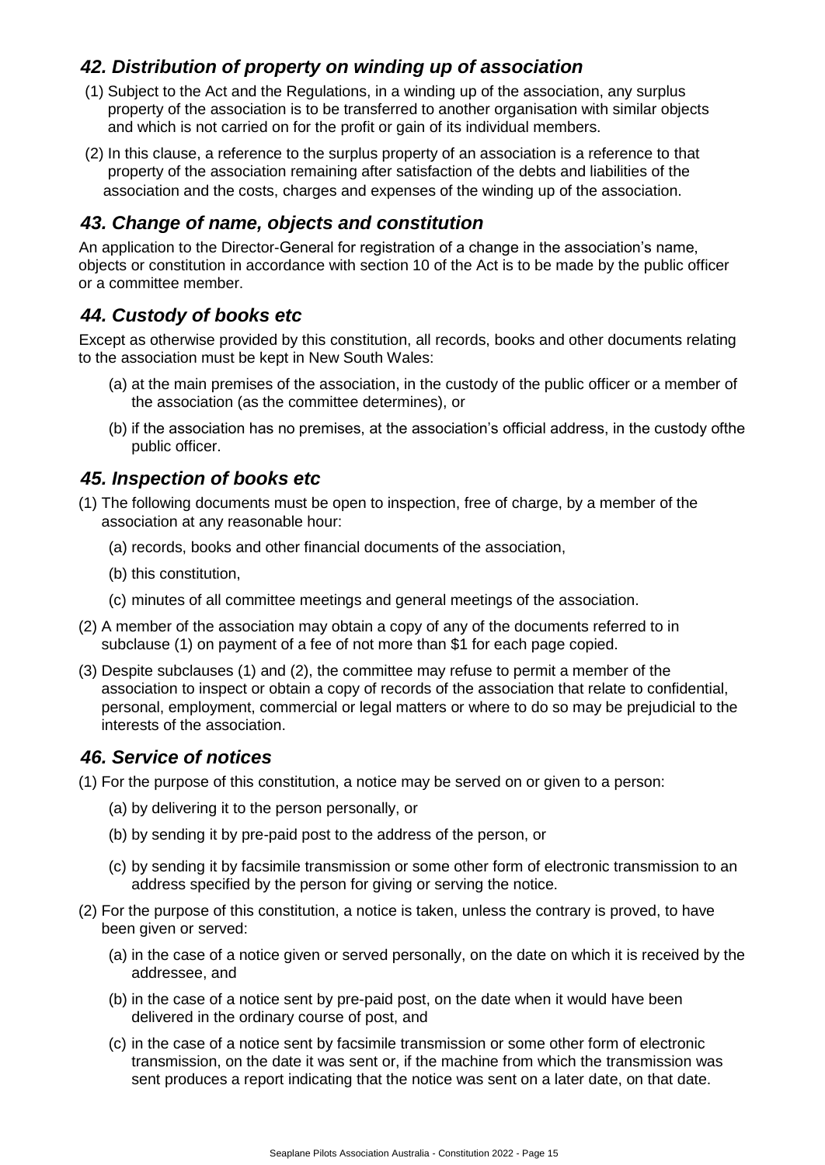# <span id="page-14-0"></span>*42. Distribution of property on winding up of association*

- (1) Subject to the Act and the Regulations, in a winding up of the association, any surplus property of the association is to be transferred to another organisation with similar objects and which is not carried on for the profit or gain of its individual members.
- (2) In this clause, a reference to the surplus property of an association is a reference to that property of the association remaining after satisfaction of the debts and liabilities of the association and the costs, charges and expenses of the winding up of the association.

### <span id="page-14-1"></span>*43. Change of name, objects and constitution*

An application to the Director-General for registration of a change in the association's name, objects or constitution in accordance with section 10 of the Act is to be made by the public officer or a committee member.

# <span id="page-14-2"></span>*44. Custody of books etc*

Except as otherwise provided by this constitution, all records, books and other documents relating to the association must be kept in New South Wales:

- (a) at the main premises of the association, in the custody of the public officer or a member of the association (as the committee determines), or
- (b) if the association has no premises, at the association's official address, in the custody ofthe public officer.

### <span id="page-14-3"></span>*45. Inspection of books etc*

- (1) The following documents must be open to inspection, free of charge, by a member of the association at any reasonable hour:
	- (a) records, books and other financial documents of the association,
	- (b) this constitution,
	- (c) minutes of all committee meetings and general meetings of the association.
- (2) A member of the association may obtain a copy of any of the documents referred to in subclause (1) on payment of a fee of not more than \$1 for each page copied.
- (3) Despite subclauses (1) and (2), the committee may refuse to permit a member of the association to inspect or obtain a copy of records of the association that relate to confidential, personal, employment, commercial or legal matters or where to do so may be prejudicial to the interests of the association.

### <span id="page-14-4"></span>*46. Service of notices*

- (1) For the purpose of this constitution, a notice may be served on or given to a person:
	- (a) by delivering it to the person personally, or
	- (b) by sending it by pre-paid post to the address of the person, or
	- (c) by sending it by facsimile transmission or some other form of electronic transmission to an address specified by the person for giving or serving the notice.
- (2) For the purpose of this constitution, a notice is taken, unless the contrary is proved, to have been given or served:
	- (a) in the case of a notice given or served personally, on the date on which it is received by the addressee, and
	- (b) in the case of a notice sent by pre-paid post, on the date when it would have been delivered in the ordinary course of post, and
	- (c) in the case of a notice sent by facsimile transmission or some other form of electronic transmission, on the date it was sent or, if the machine from which the transmission was sent produces a report indicating that the notice was sent on a later date, on that date.